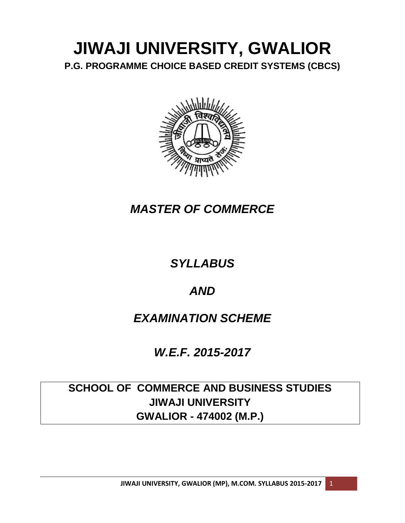# **JIWAJI UNIVERSITY, GWALIOR P.G. PROGRAMME CHOICE BASED CREDIT SYSTEMS (CBCS)**



# *MASTER OF COMMERCE*

# *SYLLABUS*

# *AND*

# *EXAMINATION SCHEME*

# *W.E.F. 2015-2017*

# **SCHOOL OF COMMERCE AND BUSINESS STUDIES JIWAJI UNIVERSITY GWALIOR - 474002 (M.P.)**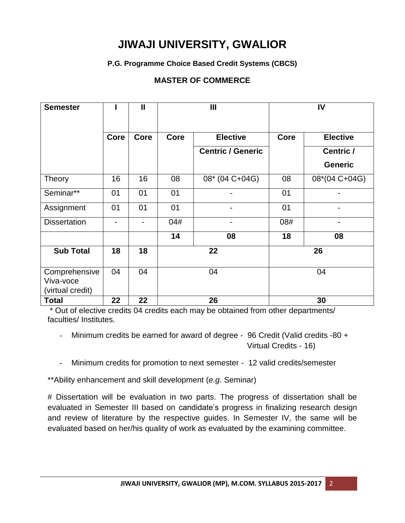# **JIWAJI UNIVERSITY, GWALIOR**

### **P.G. Programme Choice Based Credit Systems (CBCS)**

### **MASTER OF COMMERCE**

| <b>Semester</b>                                |                          | $\mathbf{I}$             | Ш           |                          |      | IV              |
|------------------------------------------------|--------------------------|--------------------------|-------------|--------------------------|------|-----------------|
|                                                | Core                     | Core                     | <b>Core</b> | <b>Elective</b>          | Core | <b>Elective</b> |
|                                                |                          |                          |             | <b>Centric / Generic</b> |      | Centric /       |
|                                                |                          |                          |             |                          |      | <b>Generic</b>  |
| <b>Theory</b>                                  | 16                       | 16                       | 08          | 08* (04 C+04G)           | 08   | 08*(04 C+04G)   |
| Seminar**                                      | 01                       | 01                       | 01          |                          | 01   |                 |
| Assignment                                     | 01                       | 01                       | 01          |                          | 01   |                 |
| <b>Dissertation</b>                            | $\overline{\phantom{0}}$ | $\overline{\phantom{a}}$ | 04#         | -                        | 08#  | -               |
|                                                |                          |                          | 14          | 08                       | 18   | 08              |
| <b>Sub Total</b>                               | 18                       | 18                       |             | 22<br>26                 |      |                 |
| Comprehensive<br>Viva-voce<br>(virtual credit) | 04                       | 04                       | 04          |                          |      | 04              |
| <b>Total</b>                                   | 22                       | 22                       | 26          |                          |      | 30              |

\* Out of elective credits 04 credits each may be obtained from other departments/ faculties/ Institutes.

- Minimum credits be earned for award of degree - 96 Credit (Valid credits -80 + Virtual Credits - 16)

Minimum credits for promotion to next semester - 12 valid credits/semester

\*\*Ability enhancement and skill development (*e.g.* Seminar)

# Dissertation will be evaluation in two parts. The progress of dissertation shall be evaluated in Semester III based on candidate's progress in finalizing research design and review of literature by the respective guides. In Semester IV, the same will be evaluated based on her/his quality of work as evaluated by the examining committee.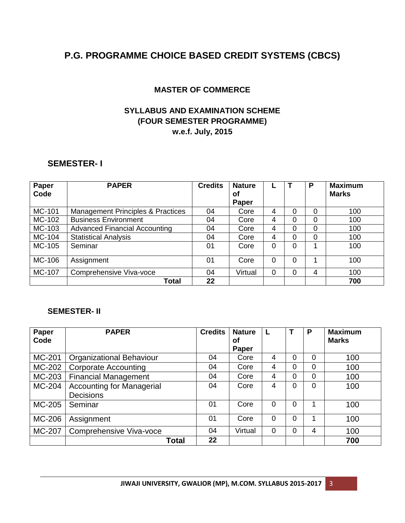# **P.G. PROGRAMME CHOICE BASED CREDIT SYSTEMS (CBCS)**

### **MASTER OF COMMERCE**

### **SYLLABUS AND EXAMINATION SCHEME (FOUR SEMESTER PROGRAMME) w.e.f. July, 2015**

### **SEMESTER- I**

| Paper  | <b>PAPER</b>                                 | <b>Credits</b> | <b>Nature</b> |   |          | P | <b>Maximum</b> |
|--------|----------------------------------------------|----------------|---------------|---|----------|---|----------------|
| Code   |                                              |                | οf            |   |          |   | <b>Marks</b>   |
|        |                                              |                | Paper         |   |          |   |                |
| MC-101 | <b>Management Principles &amp; Practices</b> | 04             | Core          | 4 | $\Omega$ | 0 | 100            |
| MC-102 | <b>Business Environment</b>                  | 04             | Core          | 4 | 0        | 0 | 100            |
| MC-103 | <b>Advanced Financial Accounting</b>         | 04             | Core          | 4 | $\Omega$ | 0 | 100            |
| MC-104 | <b>Statistical Analysis</b>                  | 04             | Core          | 4 | $\Omega$ | 0 | 100            |
| MC-105 | Seminar                                      | 01             | Core          | 0 | $\Omega$ |   | 100            |
|        |                                              |                |               |   |          |   |                |
| MC-106 | Assignment                                   | 01             | Core          | 0 | $\Omega$ | 1 | 100            |
| MC-107 | Comprehensive Viva-voce                      | 04             | Virtual       | 0 | $\Omega$ | 4 | 100            |
|        | Total                                        | 22             |               |   |          |   | 700            |

### **SEMESTER- II**

| Paper<br>Code | <b>PAPER</b>                                         | <b>Credits</b> | <b>Nature</b><br>Οf<br>Paper |          |                | P              | <b>Maximum</b><br><b>Marks</b> |
|---------------|------------------------------------------------------|----------------|------------------------------|----------|----------------|----------------|--------------------------------|
| MC-201        | <b>Organizational Behaviour</b>                      | 04             | Core                         | 4        | 0              | 0              | 100                            |
| MC-202        | <b>Corporate Accounting</b>                          | 04             | Core                         | 4        | 0              | $\Omega$       | 100                            |
| MC-203        | <b>Financial Management</b>                          | 04             | Core                         | 4        | 0              | $\Omega$       | 100                            |
| MC-204        | <b>Accounting for Managerial</b><br><b>Decisions</b> | 04             | Core                         | 4        | $\overline{0}$ | $\overline{0}$ | 100                            |
| MC-205        | Seminar                                              | 01             | Core                         | $\Omega$ | 0              | 1              | 100                            |
| MC-206        | Assignment                                           | 01             | Core                         | 0        | 0              |                | 100                            |
| MC-207        | Comprehensive Viva-voce                              | 04             | Virtual                      | 0        | 0              | 4              | 100                            |
|               | Total                                                | 22             |                              |          |                |                | 700                            |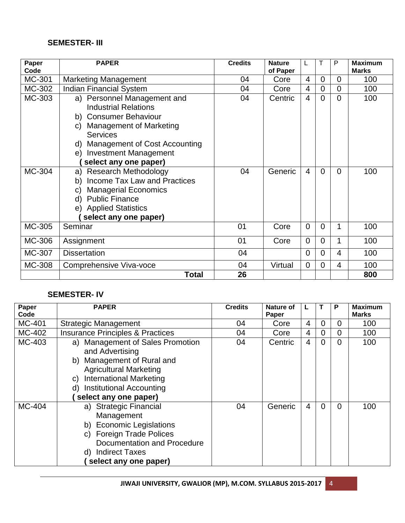### **SEMESTER- III**

| Paper<br>Code | <b>PAPER</b>                                                                                                                                                                                                                  | <b>Credits</b> | <b>Nature</b><br>of Paper |                |                | P        | <b>Maximum</b><br><b>Marks</b> |
|---------------|-------------------------------------------------------------------------------------------------------------------------------------------------------------------------------------------------------------------------------|----------------|---------------------------|----------------|----------------|----------|--------------------------------|
| MC-301        | <b>Marketing Management</b>                                                                                                                                                                                                   | 04             | Core                      | 4              | $\overline{0}$ | 0        | 100                            |
| MC-302        | <b>Indian Financial System</b>                                                                                                                                                                                                | 04             | Core                      | $\overline{4}$ | $\overline{0}$ | $\Omega$ | 100                            |
| MC-303        | a) Personnel Management and<br><b>Industrial Relations</b><br>b) Consumer Behaviour<br>c) Management of Marketing<br><b>Services</b><br>d) Management of Cost Accounting<br>e) Investment Management<br>select any one paper) | 04             | Centric                   | $\overline{4}$ | $\overline{0}$ | $\Omega$ | 100                            |
| MC-304        | a) Research Methodology<br>Income Tax Law and Practices<br>b)<br><b>Managerial Economics</b><br>C)<br>d) Public Finance<br>e) Applied Statistics<br>select any one paper)                                                     | 04             | Generic                   | $\overline{4}$ | $\overline{0}$ | $\Omega$ | 100                            |
| MC-305        | Seminar                                                                                                                                                                                                                       | 01             | Core                      | $\Omega$       | $\overline{0}$ | 1        | 100                            |
| MC-306        | Assignment                                                                                                                                                                                                                    | 01             | Core                      | $\overline{0}$ | $\overline{0}$ | 1        | 100                            |
| MC-307        | <b>Dissertation</b>                                                                                                                                                                                                           | 04             |                           | $\overline{0}$ | $\overline{0}$ | 4        | 100                            |
| MC-308        | Comprehensive Viva-voce                                                                                                                                                                                                       | 04             | Virtual                   | $\overline{0}$ | $\overline{0}$ | 4        | 100                            |
|               | <b>Total</b>                                                                                                                                                                                                                  | 26             |                           |                |                |          | 800                            |

### **SEMESTER- IV**

| Paper<br>Code | <b>PAPER</b>                                                                                                                                                                                                       | <b>Credits</b> | Nature of<br>Paper |                |   | P              | <b>Maximum</b><br>Marks |
|---------------|--------------------------------------------------------------------------------------------------------------------------------------------------------------------------------------------------------------------|----------------|--------------------|----------------|---|----------------|-------------------------|
| MC-401        | <b>Strategic Management</b>                                                                                                                                                                                        | 04             | Core               | $\overline{4}$ | 0 | $\Omega$       | 100                     |
| MC-402        | <b>Insurance Principles &amp; Practices</b>                                                                                                                                                                        | 04             | Core               | $\overline{4}$ | 0 | $\overline{0}$ | 100                     |
| MC-403        | a) Management of Sales Promotion<br>and Advertising<br>b) Management of Rural and<br><b>Agricultural Marketing</b><br><b>International Marketing</b><br>C)<br>d) Institutional Accounting<br>select any one paper) | 04             | Centric            | $\overline{4}$ | 0 | $\Omega$       | 100                     |
| MC-404        | a) Strategic Financial<br>Management<br><b>Economic Legislations</b><br>b)<br>c) Foreign Trade Polices<br>Documentation and Procedure<br>d) Indirect Taxes<br>select any one paper)                                | 04             | Generic            | $\overline{4}$ | 0 | $\Omega$       | 100                     |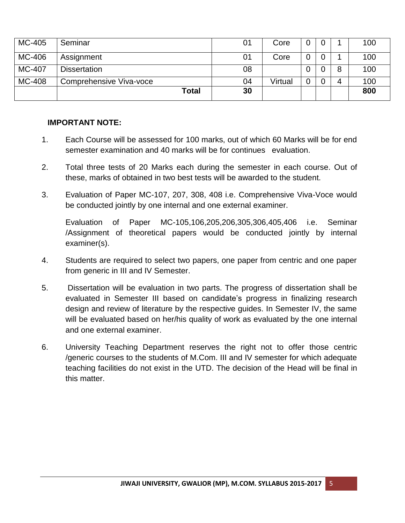| MC-405 | Seminar                 | 01 | Core    |  |   | 100 |
|--------|-------------------------|----|---------|--|---|-----|
| MC-406 | Assignment              | 01 | Core    |  |   | 100 |
| MC-407 | <b>Dissertation</b>     | 08 |         |  | 8 | 100 |
| MC-408 | Comprehensive Viva-voce | 04 | Virtual |  |   | 100 |
|        | Total                   | 30 |         |  |   | 800 |

### **IMPORTANT NOTE:**

- 1. Each Course will be assessed for 100 marks, out of which 60 Marks will be for end semester examination and 40 marks will be for continues evaluation.
- 2. Total three tests of 20 Marks each during the semester in each course. Out of these, marks of obtained in two best tests will be awarded to the student.
- 3. Evaluation of Paper MC-107, 207, 308, 408 i.e. Comprehensive Viva-Voce would be conducted jointly by one internal and one external examiner.

Evaluation of Paper MC-105,106,205,206,305,306,405,406 i.e. Seminar /Assignment of theoretical papers would be conducted jointly by internal examiner(s).

- 4. Students are required to select two papers, one paper from centric and one paper from generic in III and IV Semester.
- 5. Dissertation will be evaluation in two parts. The progress of dissertation shall be evaluated in Semester III based on candidate's progress in finalizing research design and review of literature by the respective guides. In Semester IV, the same will be evaluated based on her/his quality of work as evaluated by the one internal and one external examiner.
- 6. University Teaching Department reserves the right not to offer those centric /generic courses to the students of M.Com. III and IV semester for which adequate teaching facilities do not exist in the UTD. The decision of the Head will be final in this matter.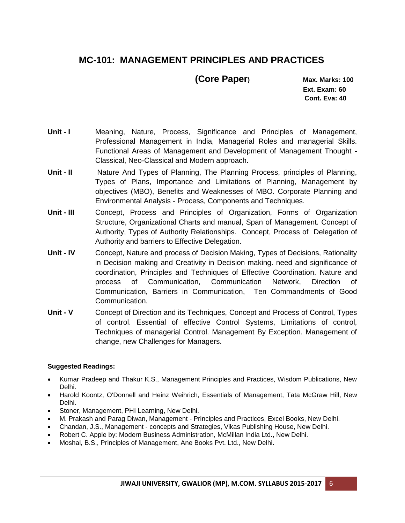# **MC-101: MANAGEMENT PRINCIPLES AND PRACTICES**

 **(Core Paper) Max. Marks: 100**

 **Ext. Exam: 60 Cont. Eva: 40**

- Unit **I** Meaning, Nature, Process, Significance and Principles of Management, Professional Management in India, Managerial Roles and managerial Skills. Functional Areas of Management and Development of Management Thought - Classical, Neo-Classical and Modern approach.
- **Unit - II** Nature And Types of Planning, The Planning Process, principles of Planning, Types of Plans, Importance and Limitations of Planning, Management by objectives (MBO), Benefits and Weaknesses of MBO. Corporate Planning and Environmental Analysis - Process, Components and Techniques.
- **Unit - III** Concept, Process and Principles of Organization, Forms of Organization Structure, Organizational Charts and manual, Span of Management. Concept of Authority, Types of Authority Relationships. Concept, Process of Delegation of Authority and barriers to Effective Delegation.
- **Unit - IV** Concept, Nature and process of Decision Making, Types of Decisions, Rationality in Decision making and Creativity in Decision making. need and significance of coordination, Principles and Techniques of Effective Coordination. Nature and process of Communication, Communication Network, Direction of Communication, Barriers in Communication, Ten Commandments of Good Communication.
- **Unit - V** Concept of Direction and its Techniques, Concept and Process of Control, Types of control. Essential of effective Control Systems, Limitations of control, Techniques of managerial Control. Management By Exception. Management of change, new Challenges for Managers.

- Kumar Pradeep and Thakur K.S., Management Principles and Practices, Wisdom Publications, New Delhi.
- Harold Koontz, O'Donnell and Heinz Weihrich, Essentials of Management, Tata McGraw Hill, New Delhi.
- Stoner, Management, PHI Learning, New Delhi.
- M. Prakash and Parag Diwan, Management Principles and Practices, Excel Books, New Delhi.
- Chandan, J.S., Management concepts and Strategies, Vikas Publishing House, New Delhi.
- Robert C. Apple by: Modern Business Administration, McMillan India Ltd., New Delhi.
- Moshal, B.S., Principles of Management, Ane Books Pvt. Ltd., New Delhi.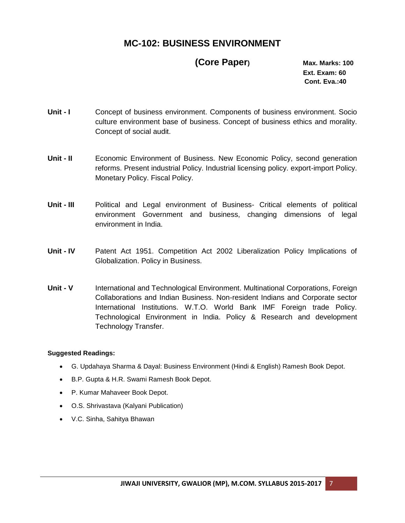# **MC-102: BUSINESS ENVIRONMENT**

# **(Core Paper) Max. Marks: 100**

 **Ext. Exam: 60 Cont. Eva.:40**

- **Unit I** Concept of business environment. Components of business environment. Socio culture environment base of business. Concept of business ethics and morality. Concept of social audit.
- **Unit II** Economic Environment of Business. New Economic Policy, second generation reforms. Present industrial Policy. Industrial licensing policy. export-import Policy. Monetary Policy. Fiscal Policy.
- **Unit - III** Political and Legal environment of Business- Critical elements of political environment Government and business, changing dimensions of legal environment in India.
- **Unit - IV** Patent Act 1951. Competition Act 2002 Liberalization Policy Implications of Globalization. Policy in Business.
- **Unit - V** International and Technological Environment. Multinational Corporations, Foreign Collaborations and Indian Business. Non-resident Indians and Corporate sector International Institutions. W.T.O. World Bank IMF Foreign trade Policy. Technological Environment in India. Policy & Research and development Technology Transfer.

- G. Updahaya Sharma & Dayal: Business Environment (Hindi & English) Ramesh Book Depot.
- B.P. Gupta & H.R. Swami Ramesh Book Depot.
- P. Kumar Mahaveer Book Depot.
- O.S. Shrivastava (Kalyani Publication)
- V.C. Sinha, Sahitya Bhawan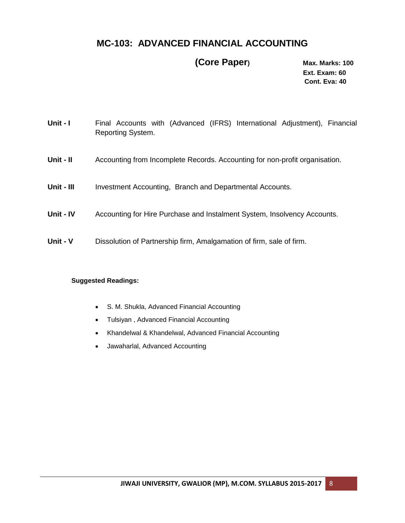## **MC-103: ADVANCED FINANCIAL ACCOUNTING**

### **(Core Paper) Max. Marks: 100**

 **Ext. Exam: 60 Cont. Eva: 40**

- **Unit I** Final Accounts with (Advanced (IFRS) International Adjustment), Financial Reporting System.
- **Unit - II** Accounting from Incomplete Records. Accounting for non-profit organisation.
- Unit III Investment Accounting, Branch and Departmental Accounts.
- **Unit - IV** Accounting for Hire Purchase and Instalment System, Insolvency Accounts.
- **Unit - V** Dissolution of Partnership firm, Amalgamation of firm, sale of firm.

- S. M. Shukla, Advanced Financial Accounting
- Tulsiyan , Advanced Financial Accounting
- Khandelwal & Khandelwal, Advanced Financial Accounting
- Jawaharlal, Advanced Accounting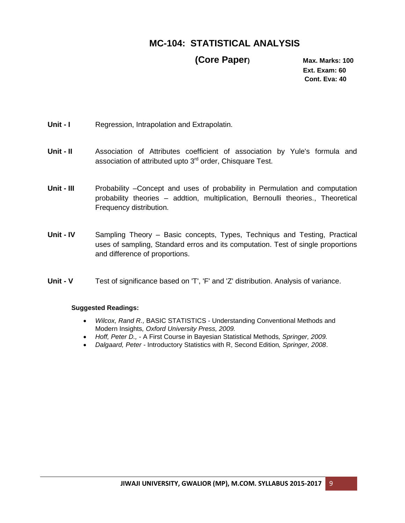# **MC-104: STATISTICAL ANALYSIS**

### **(Core Paper) Max. Marks: 100**

 **Ext. Exam: 60 Cont. Eva: 40**

- **Unit I** Regression, Intrapolation and Extrapolatin.
- **Unit - II** Association of Attributes coefficient of association by Yule's formula and association of attributed upto 3<sup>rd</sup> order, Chisquare Test.
- **Unit - III** Probability –Concept and uses of probability in Permulation and computation probability theories – addtion, multiplication, Bernoulli theories., Theoretical Frequency distribution.
- **Unit - IV** Sampling Theory Basic concepts, Types, Techniqus and Testing, Practical uses of sampling, Standard erros and its computation. Test of single proportions and difference of proportions.
- **Unit - V** Test of significance based on 'T', 'F' and 'Z' distribution. Analysis of variance.

- *Wilcox, Rand R.,* BASIC STATISTICS Understanding Conventional Methods and Modern Insights*, Oxford University Press, 2009.*
- *Hoff, Peter D., -* A First Course in Bayesian Statistical Methods*, Springer, 2009.*
- *Dalgaard, Peter -* Introductory Statistics with R, Second Edition*, Springer, 2008*.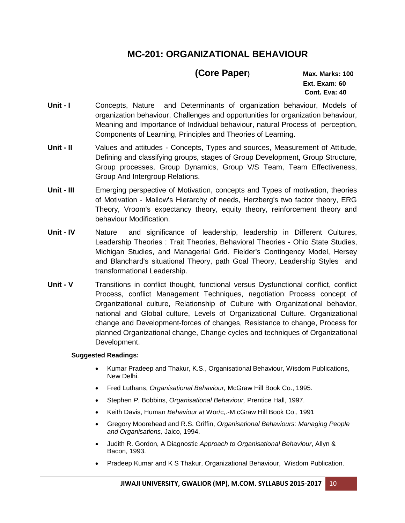# **MC-201: ORGANIZATIONAL BEHAVIOUR**

# **(Core Paper) Max. Marks: 100**

 **Ext. Exam: 60 Cont. Eva: 40**

- Unit **I** Concepts, Nature and Determinants of organization behaviour, Models of organization behaviour, Challenges and opportunities for organization behaviour, Meaning and Importance of Individual behaviour, natural Process of perception, Components of Learning, Principles and Theories of Learning.
- **Unit - II** Values and attitudes Concepts, Types and sources, Measurement of Attitude, Defining and classifying groups, stages of Group Development, Group Structure, Group processes, Group Dynamics, Group V/S Team, Team Effectiveness, Group And Intergroup Relations.
- **Unit - III** Emerging perspective of Motivation, concepts and Types of motivation, theories of Motivation - Mallow's Hierarchy of needs, Herzberg's two factor theory, ERG Theory, Vroom's expectancy theory, equity theory, reinforcement theory and behaviour Modification.
- **Unit - IV** Nature and significance of leadership, leadership in Different Cultures, Leadership Theories : Trait Theories, Behavioral Theories - Ohio State Studies, Michigan Studies, and Managerial Grid. Fielder's Contingency Model, Hersey and Blanchard's situational Theory, path Goal Theory, Leadership Styles and transformational Leadership.
- **Unit V** Transitions in conflict thought, functional versus Dysfunctional conflict, conflict Process, conflict Management Techniques, negotiation Process concept of Organizational culture, Relationship of Culture with Organizational behavior, national and Global culture, Levels of Organizational Culture. Organizational change and Development-forces of changes, Resistance to change, Process for planned Organizational change, Change cycles and techniques of Organizational Development.

- Kumar Pradeep and Thakur, K.S., Organisational Behaviour, Wisdom Publications, New Delhi.
- Fred Luthans, *Organisational Behaviour,* McGraw Hill Book Co., 1995.
- Stephen *P.* Bobbins, *Organisational Behaviour,* Prentice Hall, 1997.
- Keith Davis, Human *Behaviour at* Wor/c,.-M.cGraw Hill Book Co., 1991
- Gregory Moorehead and R.S. Griffin, *Organisational Behaviours: Managing People and Organisations,* Jaico, 1994.
- Judith R. Gordon, A Diagnostic *Approach to Organisational Behaviour*, Allyn & Bacon, 1993.
- Pradeep Kumar and K S Thakur, Organizational Behaviour, Wisdom Publication.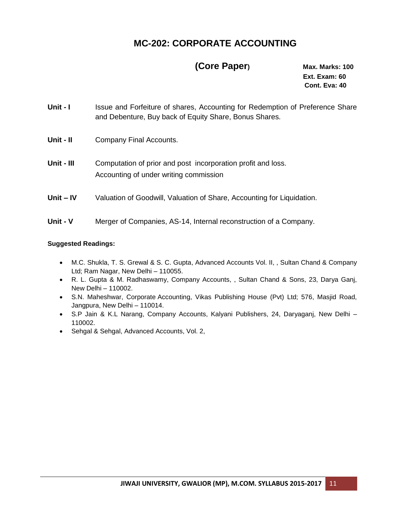# **MC-202: CORPORATE ACCOUNTING**

## **(Core Paper) Max. Marks: 100**

 **Ext. Exam: 60 Cont. Eva: 40**

- Unit I Issue and Forfeiture of shares, Accounting for Redemption of Preference Share and Debenture, Buy back of Equity Share, Bonus Shares.
- **Unit - II** Company Final Accounts.
- **Unit - III** Computation of prior and post incorporation profit and loss. Accounting of under writing commission
- **Unit – IV** Valuation of Goodwill, Valuation of Share, Accounting for Liquidation.
- **Unit - V** Merger of Companies, AS-14, Internal reconstruction of a Company.

- M.C. Shukla, T. S. Grewal & S. C. Gupta, Advanced Accounts Vol. II, , Sultan Chand & Company Ltd; Ram Nagar, New Delhi – 110055.
- R. L. Gupta & M. Radhaswamy, Company Accounts, , Sultan Chand & Sons, 23, Darya Ganj, New Delhi – 110002.
- S.N. Maheshwar, Corporate [Accounting,](http://www.futureaccountant.com/almanac/intermediate-pe-ii/syllabus-books/cs-group-i-company-accounts-cost-management-accounting.php) Vikas Publishing House (Pvt) Ltd; 576, Masjid Road, Jangpura, New Delhi – 110014.
- S.P Jain & K.L Narang, Company Accounts, Kalyani Publishers, 24, Daryaganj, New Delhi 110002.
- Sehgal & Sehgal, Advanced Accounts, Vol. 2,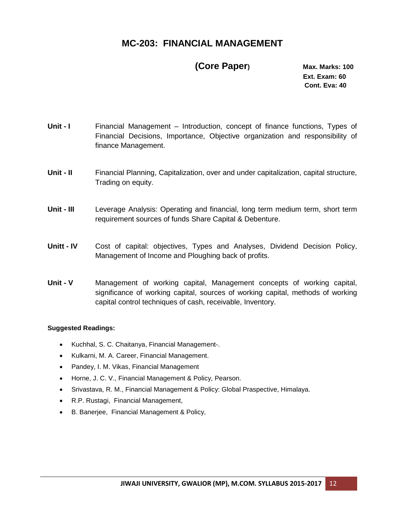## **MC-203: FINANCIAL MANAGEMENT**

### **(Core Paper) Max. Marks: 100**

 **Ext. Exam: 60 Cont. Eva: 40**

- Unit **I** Financial Management Introduction, concept of finance functions, Types of Financial Decisions, Importance, Objective organization and responsibility of finance Management.
- **Unit - II** Financial Planning, Capitalization, over and under capitalization, capital structure, Trading on equity.
- **Unit - III** Leverage Analysis: Operating and financial, long term medium term, short term requirement sources of funds Share Capital & Debenture.
- **Unitt - IV** Cost of capital: objectives, Types and Analyses, Dividend Decision Policy, Management of Income and Ploughing back of profits.
- **Unit - V** Management of working capital, Management concepts of working capital, significance of working capital, sources of working capital, methods of working capital control techniques of cash, receivable, Inventory.

- Kuchhal, S. C. Chaitanya, Financial Management-.
- Kulkarni, M. A. Career, Financial Management.
- Pandey, I. M. Vikas, Financial Management
- Horne, J. C. V., Financial Management & Policy, Pearson.
- Srivastava, R. M., Financial Management & Policy: Global Praspective, Himalaya.
- R.P. Rustagi, Financial Management,
- B. Banerjee, Financial Management & Policy,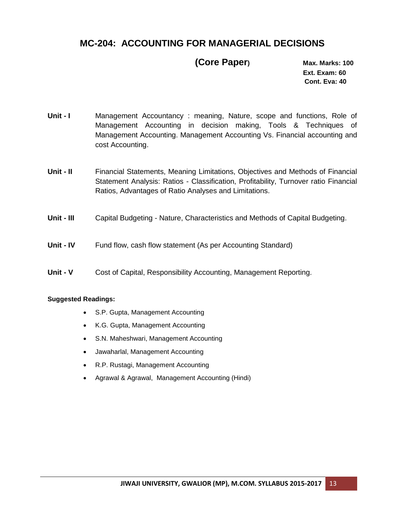# **MC-204: ACCOUNTING FOR MANAGERIAL DECISIONS**

### **(Core Paper) Max. Marks: 100**

 **Ext. Exam: 60 Cont. Eva: 40**

- **Unit I** Management Accountancy: meaning, Nature, scope and functions, Role of Management Accounting in decision making, Tools & Techniques of Management Accounting. Management Accounting Vs. Financial accounting and cost Accounting.
- **Unit - II** Financial Statements, Meaning Limitations, Objectives and Methods of Financial Statement Analysis: Ratios - Classification, Profitability, Turnover ratio Financial Ratios, Advantages of Ratio Analyses and Limitations.
- **Unit - III** Capital Budgeting Nature, Characteristics and Methods of Capital Budgeting.
- **Unit - IV** Fund flow, cash flow statement (As per Accounting Standard)
- **Unit - V** Cost of Capital, Responsibility Accounting, Management Reporting.

- S.P. Gupta, Management Accounting
- K.G. Gupta, Management Accounting
- S.N. Maheshwari, Management Accounting
- Jawaharlal, Management Accounting
- R.P. Rustagi, Management Accounting
- Agrawal & Agrawal, Management Accounting (Hindi)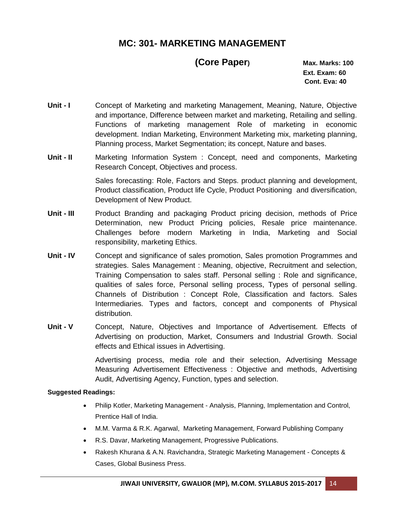# **MC: 301- MARKETING MANAGEMENT**

# **(Core Paper) Max. Marks: 100**

 **Ext. Exam: 60 Cont. Eva: 40**

- Unit **I** Concept of Marketing and marketing Management, Meaning, Nature, Objective and importance, Difference between market and marketing, Retailing and selling. Functions of marketing management Role of marketing in economic development. Indian Marketing, Environment Marketing mix, marketing planning, Planning process, Market Segmentation; its concept, Nature and bases.
- **Unit - II** Marketing Information System : Concept, need and components, Marketing Research Concept, Objectives and process.

Sales forecasting: Role, Factors and Steps. product planning and development, Product classification, Product life Cycle, Product Positioning and diversification, Development of New Product.

- **Unit - III** Product Branding and packaging Product pricing decision, methods of Price Determination, new Product Pricing policies, Resale price maintenance. Challenges before modern Marketing in India, Marketing and Social responsibility, marketing Ethics.
- **Unit - IV** Concept and significance of sales promotion, Sales promotion Programmes and strategies. Sales Management : Meaning, objective, Recruitment and selection, Training Compensation to sales staff. Personal selling : Role and significance, qualities of sales force, Personal selling process, Types of personal selling. Channels of Distribution : Concept Role, Classification and factors. Sales Intermediaries. Types and factors, concept and components of Physical distribution.
- **Unit - V** Concept, Nature, Objectives and Importance of Advertisement. Effects of Advertising on production, Market, Consumers and Industrial Growth. Social effects and Ethical issues in Advertising.

Advertising process, media role and their selection, Advertising Message Measuring Advertisement Effectiveness : Objective and methods, Advertising Audit, Advertising Agency, Function, types and selection.

- Philip Kotler, Marketing Management Analysis, Planning, Implementation and Control, Prentice Hall of India.
- M.M. Varma & R.K. Agarwal, Marketing Management, Forward Publishing Company
- R.S. Davar, Marketing Management, Progressive Publications.
- Rakesh Khurana & A.N. Ravichandra, Strategic Marketing Management Concepts & Cases, Global Business Press.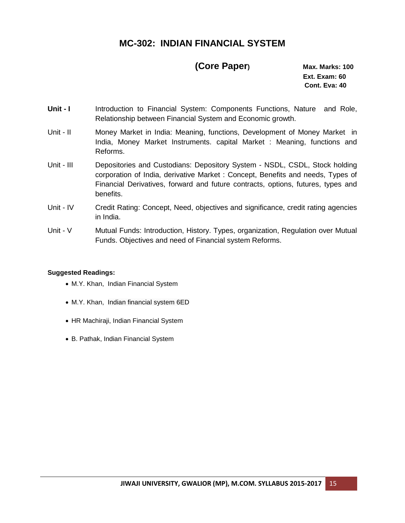# **MC-302: INDIAN FINANCIAL SYSTEM**

## **(Core Paper) Max. Marks: 100**

 **Ext. Exam: 60 Cont. Eva: 40**

- Unit **I** Introduction to Financial System: Components Functions, Nature and Role, Relationship between Financial System and Economic growth.
- Unit II Money Market in India: Meaning, functions, Development of Money Market in India, Money Market Instruments. capital Market : Meaning, functions and Reforms.
- Unit III Depositories and Custodians: Depository System NSDL, CSDL, Stock holding corporation of India, derivative Market : Concept, Benefits and needs, Types of Financial Derivatives, forward and future contracts, options, futures, types and benefits.
- Unit IV Credit Rating: Concept, Need, objectives and significance, credit rating agencies in India.
- Unit V Mutual Funds: Introduction, History. Types, organization, Regulation over Mutual Funds. Objectives and need of Financial system Reforms.

- M.Y. Khan, Indian Financial System
- M.Y. Khan, Indian financial system 6ED
- HR Machiraji, Indian Financial System
- B. Pathak, Indian Financial System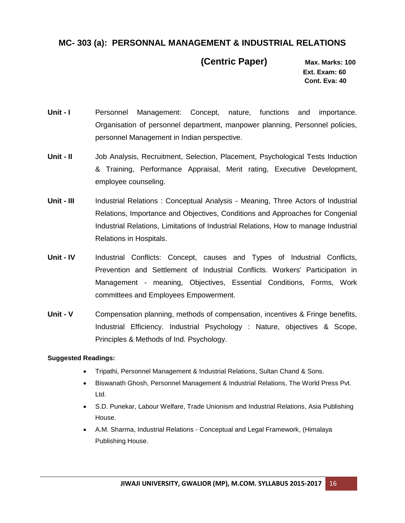### **MC- 303 (a): PERSONNAL MANAGEMENT & INDUSTRIAL RELATIONS**

 **(Centric Paper) Max. Marks: 100**

 **Ext. Exam: 60 Cont. Eva: 40**

- **Unit I** Personnel Management: Concept, nature, functions and importance. Organisation of personnel department, manpower planning, Personnel policies, personnel Management in Indian perspective.
- **Unit - II** Job Analysis, Recruitment, Selection, Placement, Psychological Tests Induction & Training, Performance Appraisal, Merit rating, Executive Development, employee counseling.
- **Unit - III** Industrial Relations : Conceptual Analysis Meaning, Three Actors of Industrial Relations, Importance and Objectives, Conditions and Approaches for Congenial Industrial Relations, Limitations of Industrial Relations, How to manage Industrial Relations in Hospitals.
- **Unit - IV** Industrial Conflicts: Concept, causes and Types of Industrial Conflicts, Prevention and Settlement of Industrial Conflicts. Workers' Participation in Management - meaning, Objectives, Essential Conditions, Forms, Work committees and Employees Empowerment.
- **Unit - V** Compensation planning, methods of compensation, incentives & Fringe benefits, Industrial Efficiency. Industrial Psychology : Nature, objectives & Scope, Principles & Methods of Ind. Psychology.

- Tripathi, Personnel Management & Industrial Relations, Sultan Chand & Sons.
- Biswanath Ghosh, Personnel Management & Industrial Relations, The World Press Pvt. Ltd.
- S.D. Punekar, Labour Welfare, Trade Unionism and Industrial Relations, Asia Publishing House.
- A.M. Sharma, Industrial Relations Conceptual and Legal Framework, (Himalaya Publishing House.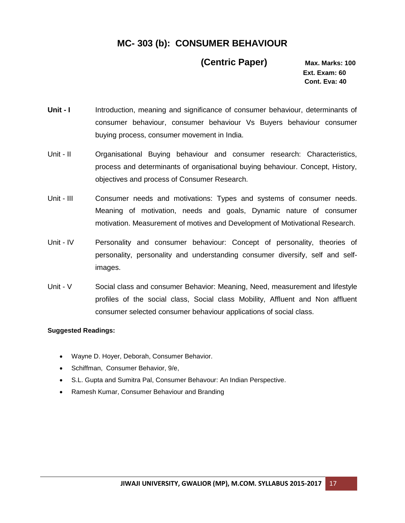# **MC- 303 (b): CONSUMER BEHAVIOUR**

### **(Centric Paper) Max. Marks: 100**

 **Ext. Exam: 60 Cont. Eva: 40**

- **Unit I** Introduction, meaning and significance of consumer behaviour, determinants of consumer behaviour, consumer behaviour Vs Buyers behaviour consumer buying process, consumer movement in India.
- Unit II Organisational Buying behaviour and consumer research: Characteristics, process and determinants of organisational buying behaviour. Concept, History, objectives and process of Consumer Research.
- Unit III Consumer needs and motivations: Types and systems of consumer needs. Meaning of motivation, needs and goals, Dynamic nature of consumer motivation. Measurement of motives and Development of Motivational Research.
- Unit IV Personality and consumer behaviour: Concept of personality, theories of personality, personality and understanding consumer diversify, self and selfimages.
- Unit V Social class and consumer Behavior: Meaning, Need, measurement and lifestyle profiles of the social class, Social class Mobility, Affluent and Non affluent consumer selected consumer behaviour applications of social class.

- Wayne D. Hoyer, Deborah, [Consumer Behavior.](http://books.google.co.in/books?id=fk1rTxRYtY0C&source=gbs_book_similarbooks)
- Schiffman, [Consumer Behavior, 9/e,](http://books.google.co.in/books?id=VYFxNfjHHd4C&source=gbs_book_similarbooks)
- S.L. Gupta and Sumitra Pal, Consumer Behavour: An Indian Perspective.
- Ramesh Kumar, Consumer Behaviour and Branding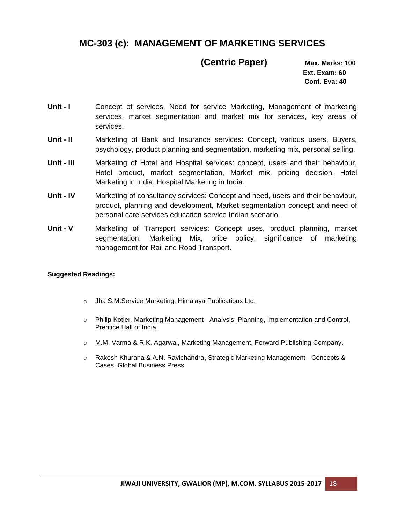# **MC-303 (c): MANAGEMENT OF MARKETING SERVICES**

### **(Centric Paper) Max. Marks: 100**

 **Ext. Exam: 60 Cont. Eva: 40**

- **Unit I** Concept of services, Need for service Marketing, Management of marketing services, market segmentation and market mix for services, key areas of services.
- **Unit - II** Marketing of Bank and Insurance services: Concept, various users, Buyers, psychology, product planning and segmentation, marketing mix, personal selling.
- **Unit - III** Marketing of Hotel and Hospital services: concept, users and their behaviour, Hotel product, market segmentation, Market mix, pricing decision, Hotel Marketing in India, Hospital Marketing in India.
- **Unit - IV** Marketing of consultancy services: Concept and need, users and their behaviour, product, planning and development, Market segmentation concept and need of personal care services education service Indian scenario.
- **Unit - V** Marketing of Transport services: Concept uses, product planning, market segmentation, Marketing Mix, price policy, significance of marketing management for Rail and Road Transport.

- o Jha S.M.Service Marketing, Himalaya Publications Ltd.
- o Philip Kotler*,* Marketing Management Analysis, Planning, Implementation and Control, Prentice Hall of India.
- o M.M. Varma & R.K. Agarwal, Marketing Management, Forward Publishing Company.
- $\circ$  Rakesh Khurana & A.N. Ravichandra, Strategic Marketing Management Concepts & Cases, Global Business Press.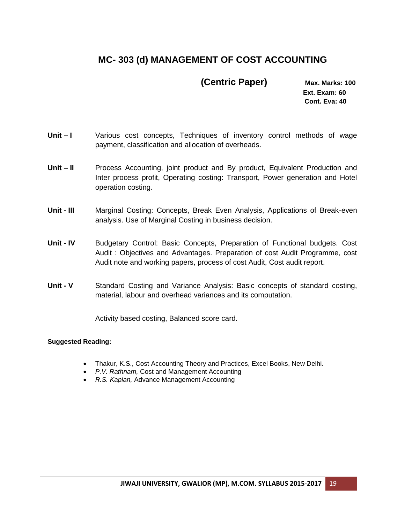# **MC- 303 (d) MANAGEMENT OF COST ACCOUNTING**

### **(Centric Paper) Max. Marks: 100**

 **Ext. Exam: 60 Cont. Eva: 40**

- Unit I Various cost concepts, Techniques of inventory control methods of wage payment, classification and allocation of overheads.
- **Unit – II** Process Accounting, joint product and By product, Equivalent Production and Inter process profit, Operating costing: Transport, Power generation and Hotel operation costing.
- **Unit - III** Marginal Costing: Concepts, Break Even Analysis, Applications of Break-even analysis. Use of Marginal Costing in business decision.
- **Unit - IV** Budgetary Control: Basic Concepts, Preparation of Functional budgets. Cost Audit : Objectives and Advantages. Preparation of cost Audit Programme, cost Audit note and working papers, process of cost Audit, Cost audit report.
- **Unit - V** Standard Costing and Variance Analysis: Basic concepts of standard costing, material, labour and overhead variances and its computation.

Activity based costing, Balanced score card.

- Thakur, K.S., Cost Accounting Theory and Practices, Excel Books, New Delhi.
- *P.V. Rathnam,* Cost and Management Accounting
- *R.S. Kaplan,* Advance Management Accounting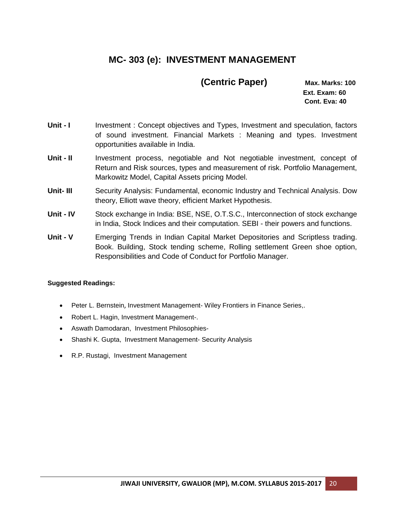# **MC- 303 (e): INVESTMENT MANAGEMENT**

### **(Centric Paper) Max. Marks: 100**

 **Ext. Exam: 60 Cont. Eva: 40**

- **Unit I** Investment: Concept objectives and Types, Investment and speculation, factors of sound investment. Financial Markets : Meaning and types. Investment opportunities available in India.
- Unit II Investment process, negotiable and Not negotiable investment, concept of Return and Risk sources, types and measurement of risk. Portfolio Management, Markowitz Model, Capital Assets pricing Model.
- **Unit- III** Security Analysis: Fundamental, economic Industry and Technical Analysis. Dow theory, Elliott wave theory, efficient Market Hypothesis.
- **Unit - IV** Stock exchange in India: BSE, NSE, O.T.S.C., Interconnection of stock exchange in India, Stock Indices and their computation. SEBI - their powers and functions.
- **Unit - V** Emerging Trends in Indian Capital Market Depositories and Scriptless trading. Book. Building, Stock tending scheme, Rolling settlement Green shoe option, Responsibilities and Code of Conduct for Portfolio Manager.

- [Peter L. Bernstein](http://www.google.co.in/search?tbo=p&tbm=bks&q=inauthor:%22Peter+L.+Bernstein%22&source=gbs_metadata_r&cad=7), Investment Management- [Wiley Frontiers in Finance Series,](http://www.google.co.in/search?tbo=p&tbm=bks&q=bibliogroup:%22Wiley+Frontiers+in+Finance+Series%22&source=gbs_metadata_r&cad=7).
- Robert L. Hagin, [Investment Management-](http://books.google.co.in/books?id=mg9nrJtptXQC&source=gbs_book_similarbooks).
- Aswath Damodaran, [Investment Philosophies-](http://books.google.co.in/books?id=__2Fjz3GnqAC&source=gbs_book_similarbooks)
- Shashi K. Gupta, [Investment Management-](http://books.google.co.in/books?id=5gPEYhbSWPYC&source=gbs_book_similarbooks) Security Analysis
- R.P. Rustagi, Investment Management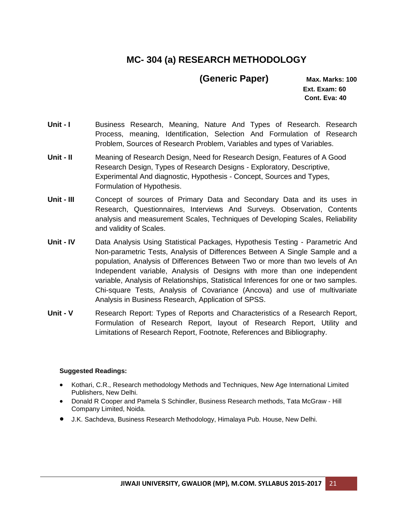# **MC- 304 (a) RESEARCH METHODOLOGY**

### **(Generic Paper) Max. Marks: 100**

 **Ext. Exam: 60 Cont. Eva: 40**

- **Unit I** Business Research, Meaning, Nature And Types of Research. Research Process, meaning, Identification, Selection And Formulation of Research Problem, Sources of Research Problem, Variables and types of Variables.
- **Unit - II** Meaning of Research Design, Need for Research Design, Features of A Good Research Design, Types of Research Designs - Exploratory, Descriptive, Experimental And diagnostic, Hypothesis - Concept, Sources and Types, Formulation of Hypothesis.
- **Unit - III** Concept of sources of Primary Data and Secondary Data and its uses in Research, Questionnaires, Interviews And Surveys. Observation, Contents analysis and measurement Scales, Techniques of Developing Scales, Reliability and validity of Scales.
- **Unit - IV** Data Analysis Using Statistical Packages, Hypothesis Testing Parametric And Non-parametric Tests, Analysis of Differences Between A Single Sample and a population, Analysis of Differences Between Two or more than two levels of An Independent variable, Analysis of Designs with more than one independent variable, Analysis of Relationships, Statistical Inferences for one or two samples. Chi-square Tests, Analysis of Covariance (Ancova) and use of multivariate Analysis in Business Research, Application of SPSS.
- **Unit - V** Research Report: Types of Reports and Characteristics of a Research Report, Formulation of Research Report, layout of Research Report, Utility and Limitations of Research Report, Footnote, References and Bibliography.

- Kothari, C.R., Research methodology Methods and Techniques, New Age International Limited Publishers, New Delhi.
- Donald R Cooper and Pamela S Schindler, Business Research methods, Tata McGraw Hill Company Limited, Noida.
- J.K. Sachdeva, Business Research Methodology, Himalaya Pub. House, New Delhi.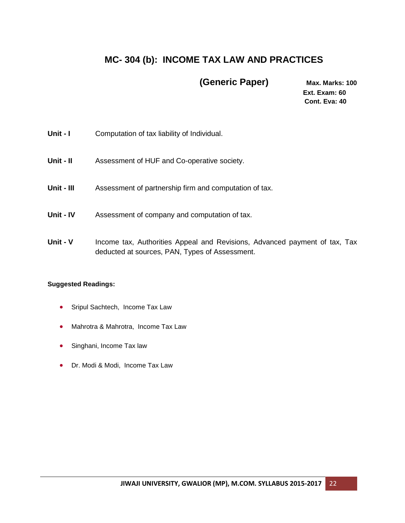# **MC- 304 (b): INCOME TAX LAW AND PRACTICES**

 **(Generic Paper) Max. Marks: 100**

 **Ext. Exam: 60 Cont. Eva: 40**

| Unit - I   | Computation of tax liability of Individual.                                                                                  |
|------------|------------------------------------------------------------------------------------------------------------------------------|
| Unit - II  | Assessment of HUF and Co-operative society.                                                                                  |
| Unit - III | Assessment of partnership firm and computation of tax.                                                                       |
| Unit - IV  | Assessment of company and computation of tax.                                                                                |
| Unit - V   | Income tax, Authorities Appeal and Revisions, Advanced payment of tax, Tax<br>deducted at sources, PAN, Types of Assessment. |

- Sripul Sachtech, Income Tax Law
- Mahrotra & Mahrotra, Income Tax Law
- Singhani, Income Tax law
- Dr. Modi & Modi, Income Tax Law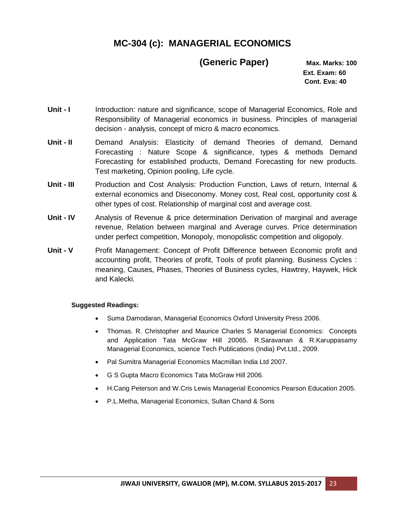# **MC-304 (c): MANAGERIAL ECONOMICS**

### **(Generic Paper) Max. Marks: 100**

 **Ext. Exam: 60 Cont. Eva: 40**

- Unit **I** Introduction: nature and significance, scope of Managerial Economics, Role and Responsibility of Managerial economics in business. Principles of managerial decision - analysis, concept of micro & macro economics.
- **Unit II** Demand Analysis: Elasticity of demand Theories of demand, Demand Forecasting : Nature Scope & significance, types & methods Demand Forecasting for established products, Demand Forecasting for new products. Test marketing, Opinion pooling, Life cycle.
- **Unit - III** Production and Cost Analysis: Production Function, Laws of return, Internal & external economics and Diseconomy. Money cost, Real cost, opportunity cost & other types of cost. Relationship of marginal cost and average cost.
- **Unit - IV** Analysis of Revenue & price determination Derivation of marginal and average revenue, Relation between marginal and Average curves. Price determination under perfect competition, Monopoly, monopolistic competition and oligopoly.
- **Unit V** Profit Management: Concept of Profit Difference between Economic profit and accounting profit, Theories of profit, Tools of profit planning. Business Cycles : meaning, Causes, Phases, Theories of Business cycles, Hawtrey, Haywek, Hick and Kalecki.

- Suma Damodaran, Managerial Economics Oxford University Press 2006.
- Thomas. R. Christopher and Maurice Charles S Managerial Economics: Concepts and Application Tata McGraw Hill 20065. R.Saravanan & R.Karuppasamy Managerial Economics, science Tech Publications (India) Pvt.Ltd., 2009.
- Pal Sumitra Managerial Economics Macmillan India Ltd 2007.
- G S Gupta Macro Economics Tata McGraw Hill 2006.
- H.Carig Peterson and W.Cris Lewis Managerial Economics Pearson Education 2005.
- P.L.Metha, Managerial Economics, Sultan Chand & Sons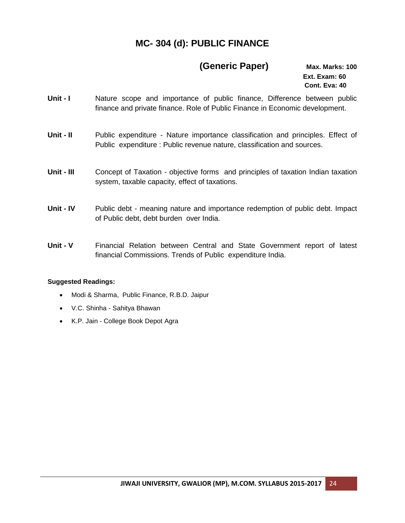# **MC- 304 (d): PUBLIC FINANCE**

### **(Generic Paper) Max. Marks: 100**

 **Ext. Exam: 60 Cont. Eva: 40**

- **Unit I** Nature scope and importance of public finance, Difference between public finance and private finance. Role of Public Finance in Economic development.
- Unit II Public expenditure Nature importance classification and principles. Effect of Public expenditure : Public revenue nature, classification and sources.
- **Unit - III** Concept of Taxation objective forms and principles of taxation Indian taxation system, taxable capacity, effect of taxations.
- **Unit - IV** Public debt meaning nature and importance redemption of public debt. Impact of Public debt, debt burden over India.
- **Unit - V** Financial Relation between Central and State Government report of latest financial Commissions. Trends of Public expenditure India.

- Modi & Sharma, Public Finance, R.B.D. Jaipur
- V.C. Shinha Sahitya Bhawan
- K.P. Jain College Book Depot Agra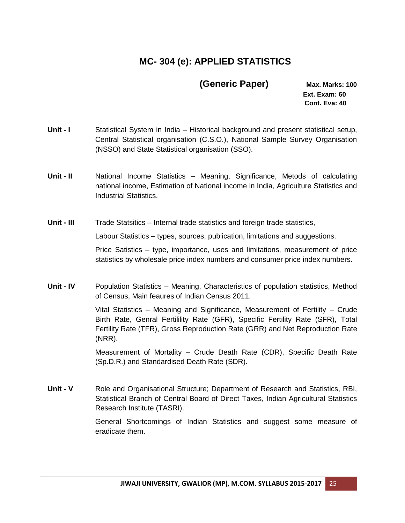# **MC- 304 (e): APPLIED STATISTICS**

### **(Generic Paper) Max. Marks: 100**

 **Ext. Exam: 60 Cont. Eva: 40**

- Unit **I** Statistical System in India Historical background and present statistical setup, Central Statistical organisation (C.S.O.), National Sample Survey Organisation (NSSO) and State Statistical organisation (SSO).
- **Unit - II** National Income Statistics Meaning, Significance, Metods of calculating national income, Estimation of National income in India, Agriculture Statistics and Industrial Statistics.

**Unit - III** Trade Statsitics – Internal trade statistics and foreign trade statistics,

Labour Statistics – types, sources, publication, limitations and suggestions.

Price Satistics – type, importance, uses and limitations, measurement of price statistics by wholesale price index numbers and consumer price index numbers.

**Unit - IV** Population Statistics – Meaning, Characteristics of population statistics, Method of Census, Main feaures of Indian Census 2011.

> Vital Statistics – Meaning and Significance, Measurement of Fertility – Crude Birth Rate, Genral Fertilility Rate (GFR), Specific Fertility Rate (SFR), Total Fertility Rate (TFR), Gross Reproduction Rate (GRR) and Net Reproduction Rate (NRR).

> Measurement of Mortality – Crude Death Rate (CDR), Specific Death Rate (Sp.D.R.) and Standardised Death Rate (SDR).

**Unit - V** Role and Organisational Structure; Department of Research and Statistics, RBI, Statistical Branch of Central Board of Direct Taxes, Indian Agricultural Statistics Research Institute (TASRI).

> General Shortcomings of Indian Statistics and suggest some measure of eradicate them.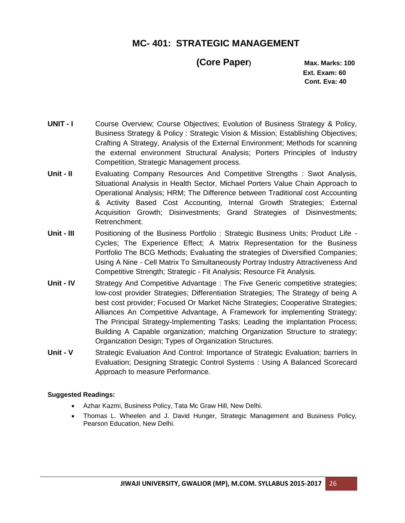# **MC- 401: STRATEGIC MANAGEMENT**

### **(Core Paper) Max. Marks: 100**

 **Ext. Exam: 60 Cont. Eva: 40**

- **UNIT I** Course Overview; Course Objectives; Evolution of Business Strategy & Policy, Business Strategy & Policy : Strategic Vision & Mission; Establishing Objectives; Crafting A Strategy, Analysis of the External Environment; Methods for scanning the external environment Structural Analysis; Porters Principles of Industry Competition, Strategic Management process.
- **Unit - II** Evaluating Company Resources And Competitive Strengths : Swot Analysis, Situational Analysis in Health Sector, Michael Porters Value Chain Approach to Operational Analysis; HRM; The Difference between Traditional cost Accounting & Activity Based Cost Accounting, Internal Growth Strategies; External Acquisition Growth; Disinvestments; Grand Strategies of Disinvestments; Retrenchment.
- **Unit - III** Positioning of the Business Portfolio : Strategic Business Units; Product Life Cycles; The Experience Effect; A Matrix Representation for the Business Portfolio The BCG Methods; Evaluating the strategies of Diversified Companies; Using A Nine - Cell Matrix To Simultaneously Portray Industry Attractiveness And Competitive Strength; Strategic - Fit Analysis; Resource Fit Analysis.
- **Unit IV** Strategy And Competitive Advantage : The Five Generic competitive strategies; low-cost provider Strategies; Differentiation Strategies; The Strategy of being A best cost provider; Focused Or Market Niche Strategies; Cooperative Strategies; Alliances An Competitive Advantage, A Framework for implementing Strategy; The Principal Strategy-Implementing Tasks; Leading the implantation Process; Building A Capable organization; matching Organization Structure to strategy; Organization Design; Types of Organization Structures.
- **Unit V** Strategic Evaluation And Control: Importance of Strategic Evaluation; barriers In Evaluation; Designing Strategic Control Systems : Using A Balanced Scorecard Approach to measure Performance.

- Azhar Kazmi, Business Policy, Tata Mc Graw Hill, New Delhi.
- Thomas L. Wheelen and J. David Hunger, Strategic Management and Business Policy, Pearson Education, New Delhi.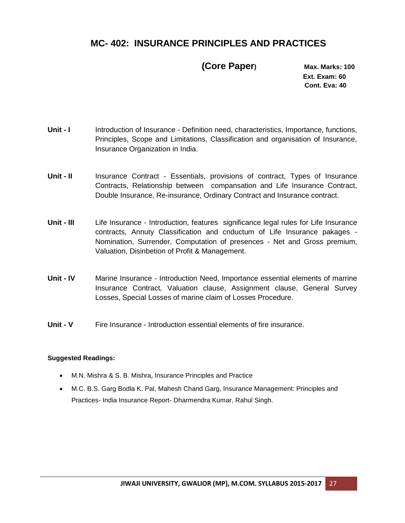## **MC- 402: INSURANCE PRINCIPLES AND PRACTICES**

 **(Core Paper) Max. Marks: 100**

 **Ext. Exam: 60 Cont. Eva: 40**

- **Unit I** Introduction of Insurance Definition need, characteristics, Importance, functions, Principles, Scope and Limitations. Classification and organisation of Insurance, Insurance Organization in India.
- **Unit II** Insurance Contract Essentials, provisions of contract, Types of Insurance Contracts, Relationship between compansation and Life Insurance Contract, Double Insurance, Re-insurance, Ordinary Contract and Insurance contract.
- **Unit - III** Life Insurance Introduction, features significance legal rules for Life Insurance contracts, Annuty Classification and cnductum of Life Insurance pakages - Nomination, Surrender, Computation of presences - Net and Gross premium, Valuation, Disinbetion of Profit & Management.
- **Unit - IV** Marine Insurance Introduction Need, Importance essential elements of marrine Insurance Contract, Valuation clause, Assignment clause, General Survey Losses, Special Losses of marine claim of Losses Procedure.
- **Unit - V** Fire Insurance Introduction essential elements of fire insurance.

- [M.N. Mishra & S. B. Mishra](http://www.google.co.in/search?tbo=p&tbm=bks&q=inauthor:%22M.N.+Mishra+%26+S.+B.+Mishra%22), Insurance Principles and Practice
- [M.C. B.S. Garg Bodla K. Pal,](http://www.google.co.in/search?tbo=p&tbm=bks&q=inauthor:%22M.C.+B.S.+Garg+Bodla+K.+Pal%22) [Mahesh Chand Garg,](http://www.google.co.in/search?tbo=p&tbm=bks&q=inauthor:%22Mahesh+Chand+Garg%22) Insurance Management: Principles and Practices- India Insurance Report- [Dharmendra Kumar,](http://www.google.co.in/search?tbo=p&tbm=bks&q=inauthor:%22Dharmendra+Kumar%22) [Rahul Singh.](http://www.google.co.in/search?tbo=p&tbm=bks&q=inauthor:%22Rahul+Singh%22)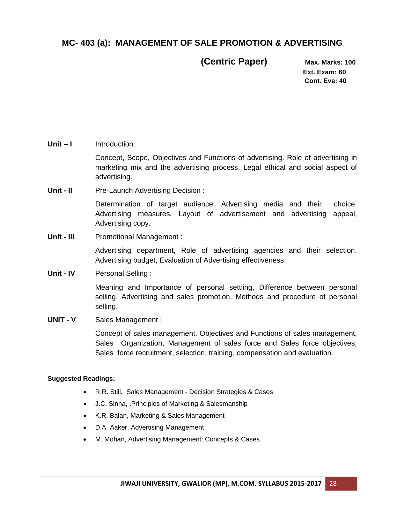### **MC- 403 (a): MANAGEMENT OF SALE PROMOTION & ADVERTISING**

 **(Centric Paper) Max. Marks: 100**

 **Ext. Exam: 60 Cont. Eva: 40**

**Unit – I** Introduction:

Concept, Scope, Objectives and Functions of advertising. Role of advertising in marketing mix and the advertising process. Legal ethical and social aspect of advertising.

**Unit - II** Pre-Launch Advertising Decision :

Determination of target audience, Advertising media and their choice. Advertising measures. Layout of advertisement and advertising appeal, Advertising copy.

**Unit - III** Promotional Management :

Advertising department, Role of advertising agencies and their selection, Advertising budget, Evaluation of Advertising effectiveness.

**Unit - IV** Personal Selling :

Meaning and Importance of personal settling, Difference between personal selling, Advertising and sales promotion, Methods and procedure of personal selling.

**UNIT - V** Sales Management :

Concept of sales management, Objectives and Functions of sales management, Sales Organization, Management of sales force and Sales force objectives, Sales force recruitment, selection, training, compensation and evaluation.

- R.R. Still, Sales Management Decision Strategies & Cases
- J.C. Sinha, .Principles of Marketing & Salesmanship
- K.R. Balan, Marketing & Sales Management
- D.A. Aaker, Advertising Management
- M. Mohan, Advertising Management: Concepts & Cases.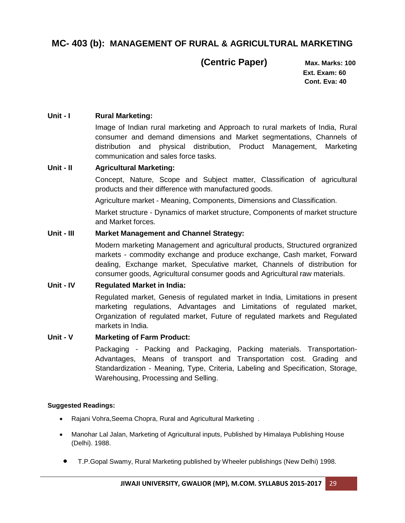## **MC- 403 (b): MANAGEMENT OF RURAL & AGRICULTURAL MARKETING**

 **(Centric Paper) Max. Marks: 100**

 **Ext. Exam: 60 Cont. Eva: 40**

### **Unit - I Rural Marketing:**

Image of Indian rural marketing and Approach to rural markets of India, Rural consumer and demand dimensions and Market segmentations, Channels of distribution and physical distribution, Product Management, Marketing communication and sales force tasks.

### **Unit - II Agricultural Marketing:**

Concept, Nature, Scope and Subject matter, Classification of agricultural products and their difference with manufactured goods.

Agriculture market - Meaning, Components, Dimensions and Classification.

Market structure - Dynamics of market structure, Components of market structure and Market forces.

### **Unit - III Market Management and Channel Strategy:**

Modern marketing Management and agricultural products, Structured orgranized markets - commodity exchange and produce exchange, Cash market, Forward dealing, Exchange market, Speculative market, Channels of distribution for consumer goods, Agricultural consumer goods and Agricultural raw materials.

### **Unit - IV Regulated Market in India:**

Regulated market, Genesis of regulated market in India, Limitations in present marketing regulations, Advantages and Limitations of regulated market, Organization of regulated market, Future of regulated markets and Regulated markets in India.

### **Unit - V Marketing of Farm Product:**

Packaging - Packing and Packaging, Packing materials. Transportation-Advantages, Means of transport and Transportation cost. Grading and Standardization - Meaning, Type, Criteria, Labeling and Specification, Storage, Warehousing, Processing and Selling.

- Rajani Vohra,Seema Chopra, Rural and Agricultural Marketing .
- Manohar Lal Jalan, Marketing of Agricultural inputs, Published by Himalaya Publishing House (Delhi). 1988.
	- T.P.Gopal Swamy, Rural Marketing published by Wheeler publishings (New Delhi) 1998.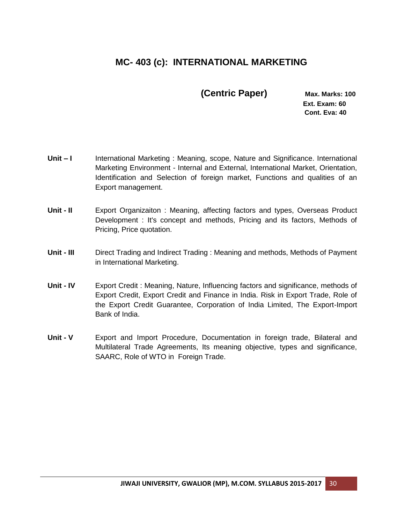# **MC- 403 (c): INTERNATIONAL MARKETING**

 **(Centric Paper) Max. Marks: 100**

 **Ext. Exam: 60 Cont. Eva: 40**

- **Unit I** International Marketing : Meaning, scope, Nature and Significance. International Marketing Environment - Internal and External, International Market, Orientation, Identification and Selection of foreign market, Functions and qualities of an Export management.
- **Unit - II** Export Organizaiton : Meaning, affecting factors and types, Overseas Product Development : It's concept and methods, Pricing and its factors, Methods of Pricing, Price quotation.
- **Unit - III** Direct Trading and Indirect Trading : Meaning and methods, Methods of Payment in International Marketing.
- **Unit - IV** Export Credit : Meaning, Nature, Influencing factors and significance, methods of Export Credit, Export Credit and Finance in India. Risk in Export Trade, Role of the Export Credit Guarantee, Corporation of India Limited, The Export-Import Bank of India.
- **Unit V** Export and Import Procedure, Documentation in foreign trade, Bilateral and Multilateral Trade Agreements, Its meaning objective, types and significance, SAARC, Role of WTO in Foreign Trade.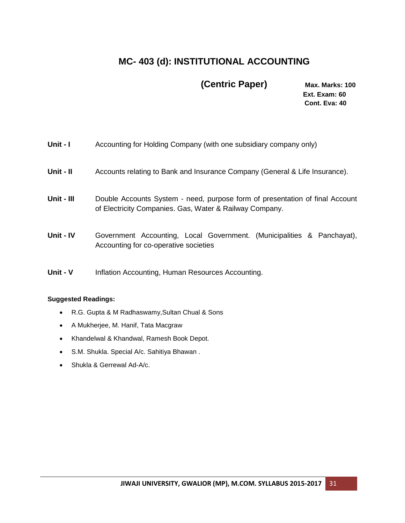# **MC- 403 (d): INSTITUTIONAL ACCOUNTING**

# **(Centric Paper) Max. Marks: 100**

 **Ext. Exam: 60 Cont. Eva: 40**

| Unit - I   | Accounting for Holding Company (with one subsidiary company only)                                                                       |
|------------|-----------------------------------------------------------------------------------------------------------------------------------------|
| Unit - II  | Accounts relating to Bank and Insurance Company (General & Life Insurance).                                                             |
| Unit - III | Double Accounts System - need, purpose form of presentation of final Account<br>of Electricity Companies. Gas, Water & Railway Company. |
| Unit - IV  | Government Accounting, Local Government. (Municipalities & Panchayat),<br>Accounting for co-operative societies                         |
| Unit - V   | Inflation Accounting, Human Resources Accounting.                                                                                       |

- R.G. Gupta & M Radhaswamy,Sultan Chual & Sons
- A Mukherjee, M. Hanif, Tata Macgraw
- Khandelwal & Khandwal, Ramesh Book Depot.
- S.M. Shukla. Special A/c. Sahitiya Bhawan .
- Shukla & Gerrewal Ad-A/c.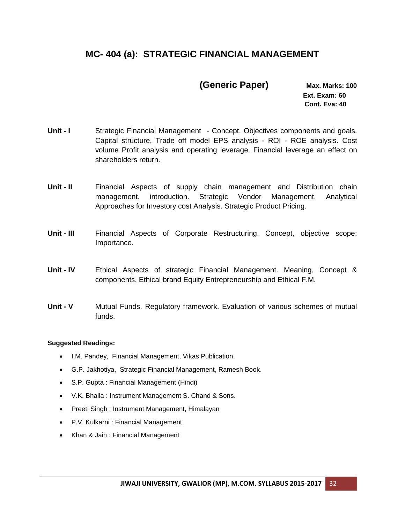# **MC- 404 (a): STRATEGIC FINANCIAL MANAGEMENT**

### **(Generic Paper) Max. Marks: 100**

 **Ext. Exam: 60 Cont. Eva: 40**

- **Unit I** Strategic Financial Management Concept, Objectives components and goals. Capital structure, Trade off model EPS analysis - ROI - ROE analysis. Cost volume Profit analysis and operating leverage. Financial leverage an effect on shareholders return.
- **Unit II** Financial Aspects of supply chain management and Distribution chain management. introduction. Strategic Vendor Management. Analytical Approaches for Investory cost Analysis. Strategic Product Pricing.
- **Unit - III** Financial Aspects of Corporate Restructuring. Concept, objective scope; Importance.
- **Unit - IV** Ethical Aspects of strategic Financial Management. Meaning, Concept & components. Ethical brand Equity Entrepreneurship and Ethical F.M.
- **Unit - V** Mutual Funds. Regulatory framework. Evaluation of various schemes of mutual funds.

- I.M. Pandey, Financial Management, Vikas Publication.
- G.P. Jakhotiya, Strategic Financial Management, Ramesh Book.
- S.P. Gupta : Financial Management (Hindi)
- V.K. Bhalla : Instrument Management S. Chand & Sons.
- Preeti Singh : Instrument Management, Himalayan
- P.V. Kulkarni : Financial Management
- Khan & Jain: Financial Management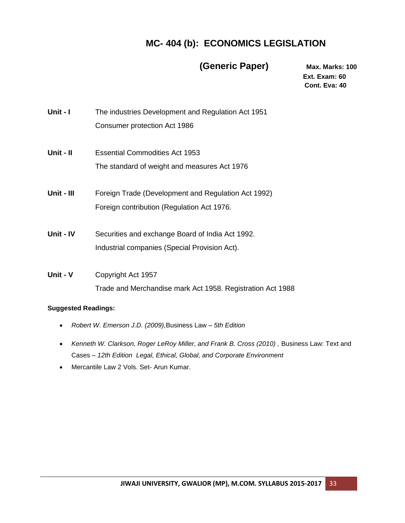# **MC- 404 (b): ECONOMICS LEGISLATION**

### **(Generic Paper) Max. Marks: 100**

 **Ext. Exam: 60 Cont. Eva: 40**

- **Unit I** The industries Development and Regulation Act 1951 Consumer protection Act 1986
- **Unit - II** Essential Commodities Act 1953 The standard of weight and measures Act 1976
- **Unit - III** Foreign Trade (Development and Regulation Act 1992) Foreign contribution (Regulation Act 1976.
- **Unit - IV** Securities and exchange Board of India Act 1992. Industrial companies (Special Provision Act).
- **Unit - V** Copyright Act 1957 Trade and Merchandise mark Act 1958. Registration Act 1988

- *Robert W. Emerson J.D. (2009),*[Business Law](http://www.amazon.com/gp/product/0764142402?ie=UTF8&tag=maawe-20&linkCode=as2&camp=1789&creative=390957&creativeASIN=0764142402) *– 5th Edition*
- Kenneth W. Clarkson, Roger LeRoy Miller, and Frank B. Cross (2010), Business Law: Text and [Cases](http://www.amazon.com/gp/product/0538470828?ie=UTF8&tag=maawe-20&linkCode=as2&camp=1789&creative=390957&creativeASIN=0538470828) *– 12th Edition Legal, Ethical, Global, and Corporate Environment*
- Mercantile Law 2 Vols. Set- [Arun Kumar.](http://www.google.co.in/search?tbo=p&tbm=bks&q=inauthor:%22Arun+Kumar%22)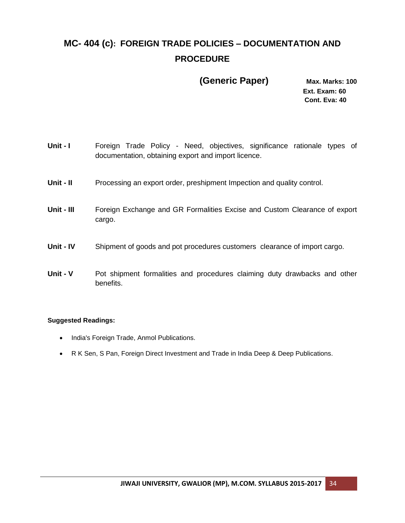# **MC- 404 (c): FOREIGN TRADE POLICIES – DOCUMENTATION AND PROCEDURE**

### **(Generic Paper) Max. Marks: 100**

 **Ext. Exam: 60 Cont. Eva: 40**

- Unit **I** Foreign Trade Policy Need, objectives, significance rationale types of documentation, obtaining export and import licence. **Unit - II** Processing an export order, preshipment Impection and quality control. **Unit - III** Foreign Exchange and GR Formalities Excise and Custom Clearance of export cargo. **Unit - IV** Shipment of goods and pot procedures customers clearance of import cargo.
- **Unit V** Pot shipment formalities and procedures claiming duty drawbacks and other benefits.

- India's Foreign Trade, [Anmol Publications.](http://www.infibeam.com/Books/anmol-publisher/)
- R K Sen, S Pan, Foreign Direct Investment and Trade in India [Deep & Deep Publications.](http://www.infibeam.com/Books/deep-deep-publisher/)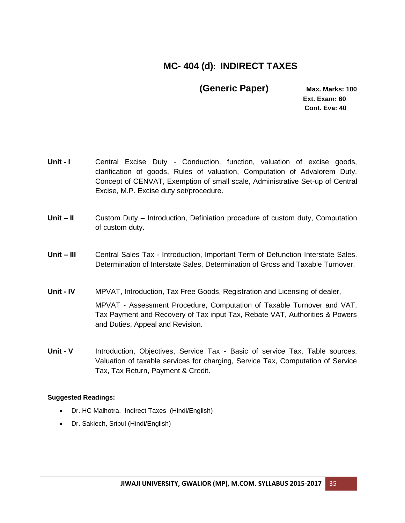# **MC- 404 (d): INDIRECT TAXES**

 **(Generic Paper) Max. Marks: 100**

 **Ext. Exam: 60 Cont. Eva: 40**

- **Unit I** Central Excise Duty Conduction, function, valuation of excise goods, clarification of goods, Rules of valuation, Computation of Advalorem Duty. Concept of CENVAT, Exemption of small scale, Administrative Set-up of Central Excise, M.P. Excise duty set/procedure.
- **Unit – II** Custom Duty Introduction, Definiation procedure of custom duty, Computation of custom duty**.**
- **Unit – III** Central Sales Tax Introduction, Important Term of Defunction Interstate Sales. Determination of Interstate Sales, Determination of Gross and Taxable Turnover.

**Unit - IV** MPVAT, Introduction, Tax Free Goods, Registration and Licensing of dealer, MPVAT - Assessment Procedure, Computation of Taxable Turnover and VAT, Tax Payment and Recovery of Tax input Tax, Rebate VAT, Authorities & Powers and Duties, Appeal and Revision.

**Unit - V** Introduction, Objectives, Service Tax - Basic of service Tax, Table sources, Valuation of taxable services for charging, Service Tax, Computation of Service Tax, Tax Return, Payment & Credit.

- Dr. HC Malhotra, Indirect Taxes (Hindi/English)
- Dr. Saklech, Sripul (Hindi/English)